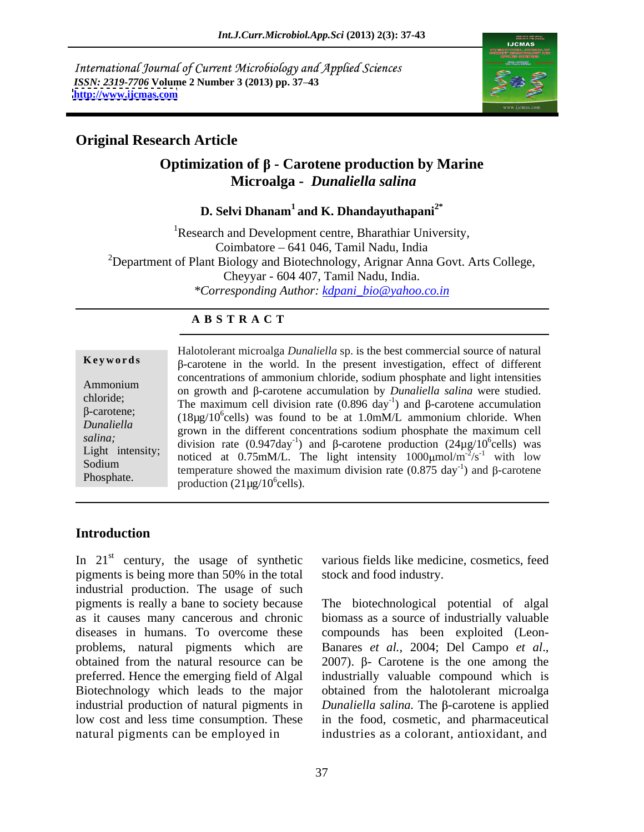International Journal of Current Microbiology and Applied Sciences *ISSN: 2319-7706* **Volume 2 Number 3 (2013) pp. 37 43 <http://www.ijcmas.com>**



## **Original Research Article**

## **Optimization of - Carotene production by Marine Microalga** *- Dunaliella salina*

## **D. Selvi Dhanam1 and K. Dhandayuthapani2\***

<sup>1</sup>Research and Development centre, Bharathiar University, Coimbatore 641 046, Tamil Nadu, India <sup>2</sup>Department of Plant Biology and Biotechnology, Arignar Anna Govt. Arts College, Cheyyar - 604 407, Tamil Nadu, India. *\*Corresponding Author: kdpani\_bio@yahoo.co.in*

### **A B S T R A C T**

**Keywords** Halotolerant microalga *Dunaliella* sp. is the best commercial source of natural  $\beta$ -carotene in the world. In the present investigation, effect of different Ammonium  $\alpha$  concentrations of ammonium emotion, soluting prosphate and right intensities on growth and  $\beta$ -carotene accumulation by *Dunaliella salina* were studied. chloride;<br>The maximum cell division rate  $(0.896 \text{ day}^{-1})$  and  $\beta$ -carotene accumulation  $\frac{1}{18\mu\text{g}}$  (18 $\mu\text{g}/10^6$ cells) was found to be at 1.0mM/L ammonium chloride. When *Dunaliella* grown in the different concentrations sodium phosphate the maximum cell *salina*;<br>
division rate  $(0.947 \text{day}^{-1})$  and  $\beta$ -carotene production  $(24\mu g/10^6 \text{cells})$  was Light intensity; and at 0.75mM/L. The light intensity  $1000 \mu m^2/s^{-1}$  with low  $\frac{1000 \mu m}{2000 \mu m}$  toward the maximum division rate  $(0.975 \text{ day}^{-1})$  and B carotane Soutum<br>Phosphate. temperature showed the maximum division rate  $(0.875 \text{ day}^{-1})$  and β-carotene concentrations of ammonium chloride, sodium phosphate and light intensities  $^{6}$ colle) wee cells) was  $-2/6$ <sup>-1</sup> with  $1$ ow  $\sqrt{s}^{-1}$  with low with low  $^{-1}$ ) and B corotano ) and  $\beta$ -carotene production  $(21\mu g/10^6$ cells). production  $(21\mu g/10^6$ cells).

## **Introduction**

In  $21<sup>st</sup>$  century, the usage of synthetic various fields like medicine, cosmetics, feed pigments is being more than 50% in the total industrial production. The usage of such pigments is really a bane to society because The biotechnological potential of algal as it causes many cancerous and chronic diseases in humans. To overcome these compounds has been exploited (Leon problems, natural pigments which are Banares et al., 2004; Del Campo et al., obtained from the natural resource can be  $2007$ .  $\beta$ - Carotene is the one among the preferred. Hence the emerging field of Algal industrially valuable compound which is Biotechnology which leads to the major obtained from the halotolerant microalga industrial production of natural pigments in *Dunaliella salina*. The β-carotene is applied low cost and less time consumption. These in the food, cosmetic, and pharmaceutical natural pigments can be employed in industries as a colorant, antioxidant, and

various fields like medicine, cosmetics, feed stock and food industry.

biomass as a source of industrially valuable Banares *et al.*, 2004; Del Campo *et al.*, 2007). β- Carotene is the one among the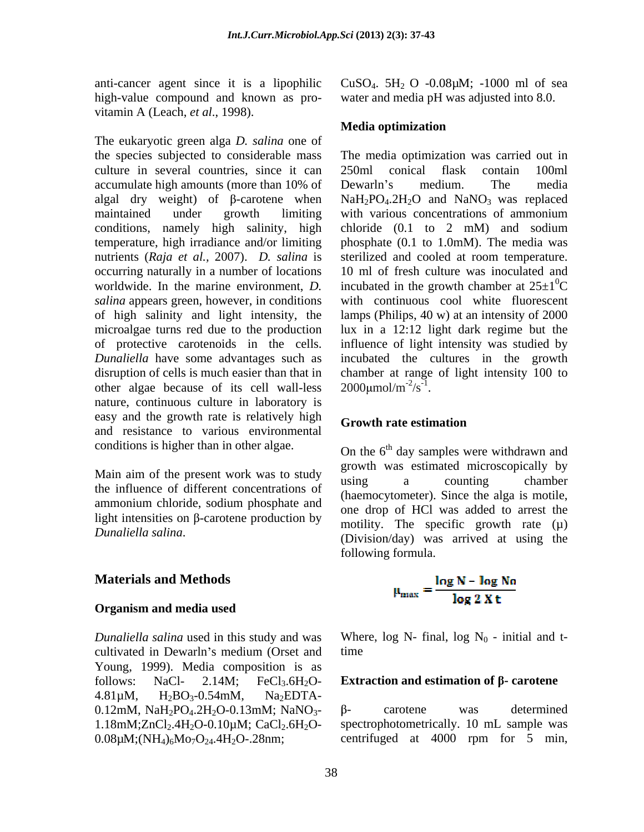high-value compound and known as pro- water and media pH was adjusted into 8.0. vitamin A (Leach, *et al*., 1998).

The eukaryotic green alga *D. salina* one of culture in several countries, since it can 250ml conical flask contain 100ml accumulate high amounts (more than 10% of Dewarln's medium. The media conditions, namely high salinity, high chloride (0.1 to 2 mM) and sodium temperature, high irradiance and/or limiting occurring naturally in a number of locations of high salinity and light intensity, the other algae because of its cell wall-less nature, continuous culture in laboratory is easy and the growth rate is relatively high Growth rate estimation and resistance to various environmental

Main aim of the present work was to study  $\frac{g_{\text{row}}}{g_{\text{avg}}}$  a counting chamber the influence of different concentrations of ammonium chloride, sodium phosphate and light intensities on  $\beta$ -carotene production by

## **Materials and Methods**

#### **Organism and media used**

cultivated in Dewarln's medium (Orset and time Young, 1999). Media composition is as follows: NaCl-  $2.14M$ ; FeCl<sub>3</sub>.6H<sub>2</sub>O- **Extraction and estimation of**  $\beta$ **- carotene**  $4.81\mu$ M,  $H_2BO_3 - 0.54$ mM, Na<sub>2</sub>EDTA-0.12mM,  $NaH_2PO_4.2H_2O-0.13mM$ ;  $NaNO_3$ -  $\beta$ - carotene was determined 1.18mM; $ZnCl_2.4H_2O-0.10\mu M$ ; CaCl<sub>2</sub>.6H<sub>2</sub>O-<br>0.08 $\mu$ M;(NH<sub>4</sub>)<sub>6</sub>Mo<sub>7</sub>O<sub>24</sub>.4H<sub>2</sub>O-.28nm;  $0.08\mu\text{M}; (\text{NH}_4)_6\text{Mo}_7\text{O}_{24}.4\text{H}_2\text{O}$ -.28nm; centrifuged at 4000 rpm for 5 min,

anti-cancer agent since it is a lipophilic  $CuSO<sub>4</sub>$ .  $5H<sub>2</sub>$  O -0.08 $\mu$ M; -1000 ml of sea

### **Media optimization**

the species subjected to considerable mass The media optimization was carried out in algal dry weight) of  $\beta$ -carotene when  $NaH_2PO_4.2H_2O$  and  $NaNO_3$  was replaced maintained under growth limiting with various concentrations of ammonium nutrients (*Raja et al.,* 2007).*D. salina* is sterilized and cooled at room temperature. worldwide. In the marine environment, *D*. incubated in the growth chamber at  $25\pm1$ <sup>o</sup>C *salina* appears green, however, in conditions with continuous cool white fluorescent microalgae turns red due to the production lux in a 12:12 light dark regime but the of protective carotenoids in the cells. influence of light intensity was studied by *Dunaliella* have some advantages such as incubated the cultures in the growth disruption of cells is much easier than that in chamber at range of light intensity 100 to 250ml conical flask contain 100ml Dewarln's medium. The media chloride (0.1 to 2 mM) and sodium phosphate (0.1 to 1.0mM). The media was 10 ml of fresh culture was inoculated and  $\rm{^{0}C}$ lamps (Philips, 40 w) at an intensity of 2000  $2000 \mu \text{mol/m}^{-2}/\text{s}^{-1}$ .  $-2\frac{1}{6}$  $\sqrt{s}^{-1}$ .  $2000 \mu \text{mol/m}^{-2}/\text{s}^{-1}$ .

### **Growth rate estimation**

conditions is higher than in other algae. On the  $6<sup>th</sup>$  day samples were withdrawn and *Dunaliella salina*. The specific growth rate ( $\mu$ )<br>(Division/day) was arrived at using the growth was estimated microscopically by using a counting chamber (haemocytometer). Since the alga is motile, one drop of HCl was added to arrest the motility. The specific growth rate  $(u)$ following formula.

$$
\mu_{\text{max}} = \frac{\log N - \log N_0}{\log 2 \, X \, t}
$$

*Dunaliella salina* used in this study and was Where,  $log N$ - final,  $log N_0$  - initial and ttime that the contract of the contract of the contract of the contract of the contract of the contract of the contract of the contract of the contract of the contract of the contract of the contract of the contract of the

- carotene was determined spectrophotometrically. 10 mL sample was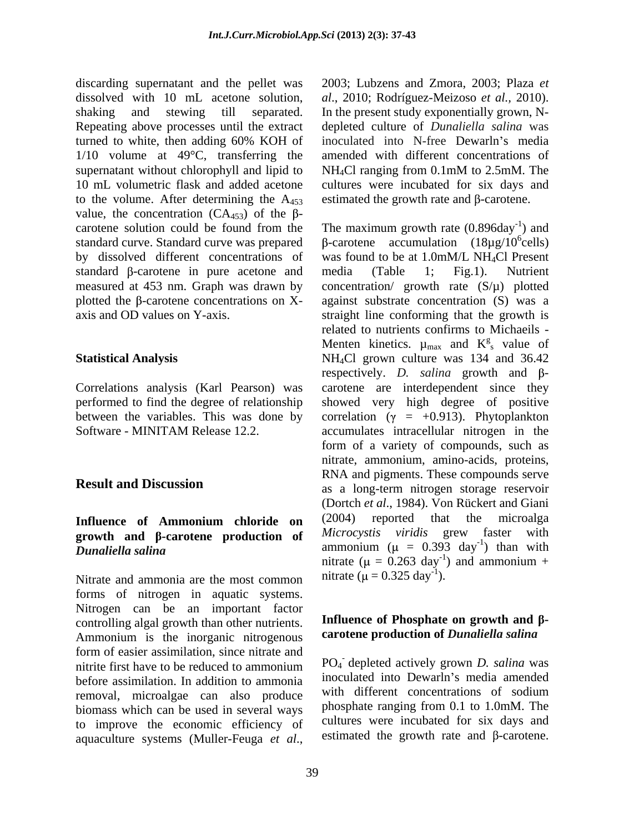discarding supernatant and the pellet was dissolved with 10 mL acetone solution, shaking and stewing till separated. In the present study exponentially grown, N- Repeating above processes until the extract depleted culture of *Dunaliella salina* was turned to white, then adding 60% KOH of inoculated into N-free Dewarln's media 1/10 volume at 49°C, transferring the supernatant without chlorophyll and lipid to  $NH_4Cl$  ranging from 0.1mM to 2.5mM. The 10 mL volumetric flask and added acetone cultures were incubated for six days and to the volume. After determining the  $A_{453}$ value, the concentration (CA<sub>453</sub>) of the  $\beta$ -<br>carotene solution could be found from the standard  $\beta$ -carotene in pure acetone and media (Table 1; Fig.1). Nutrient

Correlations analysis (Karl Pearson) was

# **growth** and  $\beta$ **-carotene production** of *Microcystis viridis* grew faster with

Nitrate and ammonia are the most common nitrate  $(\mu = 0.325 \text{ day}^{-1})$ . forms of nitrogen in aquatic systems.<br>Nitrogen can be an important factor controlling algal growth than other nutrients. Influence of Phosphate on growth and B-<br>Ammonium is the inorganic nitrogenous carotene production of *Dunaliella salina* form of easier assimilation, since nitrate and nitrite first have to be reduced to ammonium PO<sub>4</sub> depleted actively grown *D. salina* was before assimilation. In addition to ammonia inoculated into Dewarin's media amended<br>removal microalgae can also produce with different concentrations of sodium removal, microalgae can also produce biomass which can be used in several ways to improve the economic efficiency of aquaculture systems (Muller-Feuga *et al*.,

2003; Lubzens and Zmora, 2003; Plaza *et al*., 2010; Rodríguez-Meizoso *et al.,* 2010). inoculated into N-free Dewarln's media amended with different concentrations of NH4Cl ranging from 0.1mM to 2.5mM. The estimated the growth rate and  $\beta$ -carotene.

carotene solution could be found from the The maximum growth rate  $(0.896 \text{day}^{-1})$  and standard curve. Standard curve was prepared  $\beta$ -carotene accumulation (18µg/10<sup>o</sup>cells) by dissolved different concentrations of was found to be at 1.0mM/L NH4Cl Present measured at 453 nm. Graph was drawn by concentration/ growth rate (S/µ) plotted plotted the  $\beta$ -carotene concentrations on X- against substrate concentration (S) was a axis and OD values on Y-axis. straight line conforming that the growth is **Statistical Analysis** MH<sub>4</sub>Cl grown culture was 134 and 36.42 performed to find the degree of relationship showed very high degree of positive between the variables. This was done by correlation ( $\gamma = +0.913$ ). Phytoplankton Software - MINITAM Release 12.2. accumulates intracellular nitrogen in the **Result and Discussion**<br>
as a long-term nitrogen storage reservoir **Influence of Ammonium chloride on**  $D$ unaliella salina<br>  $D$ unaliella salina ) and  $^{6}$ colle) cells) media (Table 1; Fig.1). Nutrient related to nutrients confirms to Michaeils - Menten kinetics.  $\mu_{\text{max}}$  and  $K_{s}^{g}$  value of  $\frac{g}{g}$  yelve of s value of respectively. *D. salina* growth and  $\beta$ carotene are interdependent since they form of a variety of compounds, such as nitrate, ammonium, amino-acids, proteins, RNA and pigments. These compounds serve (Dortch *et al*., 1984). Von Rückert and Giani (2004) reported that the microalga *Microcystis viridis* grew faster with  $-1$  then with ) than with nitrate ( $\mu = 0.263$  day<sup>-1</sup>) and ammonium + ) and ammonium + nitrate ( $\mu = 0.325 \text{ day}^{-1}$ ).  $-1$ ).

## **Influence of Phosphate on growth and carotene production of** *Dunaliella salina*

PO4 - depleted actively grown *D. salina* was inoculated into Dewarln's media amended with different concentrations of sodium phosphate ranging from 0.1 to 1.0mM. The cultures were incubated for six days and estimated the growth rate and  $\beta$ -carotene.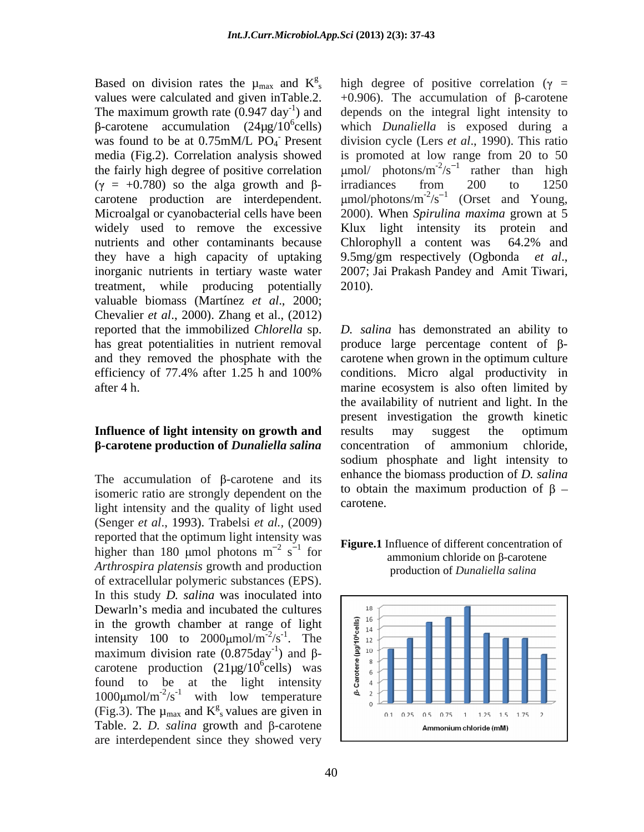Based on division rates the  $\mu_{\text{max}}$  and  $K^g$ , high degree of positive correlation ( $\gamma$  = values were calculated and given inTable.2. The maximum growth rate  $(0.947 \text{ day}^{-1})$  and the fairly high degree of positive correlation  $(y = +0.780)$  so the alga growth and  $\beta$ - irradiances from 200 to 1250 widely used to remove the excessive nutrients and other contaminants because Chlorophyll a content was 64.2% and they have a high capacity of uptaking  $9.5mg/m$  respectively (Ogbonda *et al.*, inorganic nutrients in tertiary waste water 2007; Jai Prakash Pandey and Amit Tiwari, treatment, while producing potentially 2010). valuable biomass (Martínez *et al*., 2000; Chevalier *et al*., 2000). Zhang et al., (2012)

The accumulation of  $\beta$ -carotene and its isomeric ratio are strongly dependent on the to obtain<br>light intensity and the quality of light used carotene. light intensity and the quality of light used (Senger *et al*., 1993). Trabelsi *et al.,* (2009) reported that the optimum light intensity was higher than 180 umol photons  $m^{-2}$  s<sup>-1</sup> for *Arthrospira platensis* growth and production of extracellular polymeric substances (EPS).<br>In this study *D. salina* was inoculated into Dewarln's media and incubated the cultures<br>in the growth chamber at range of light<br>intensity 100 to 2000µmol/m<sup>-2</sup>/s<sup>-1</sup>. The<br>maximum division rate  $(0.875 \text{day}^{-1})$  and  $\beta$ -<br>carotene production  $(21 \mu g/10^6 \text{cells})$  was<br>fou in the growth chamber at range of light  $\frac{2}{3}$   $\frac{16}{14}$ intensity 100 to 2000 $\mu$ mol/m<sup>-2</sup>/s<sup>-1</sup>. The  $\frac{2000 \mu}{\pi}$  movimum division rate (0.875day<sup>-1</sup>) and  $\frac{8}{3}$  and maximum division rate  $(0.875 \text{day}^{-1})$  and  $\beta$ carotene production (21µg/10<sup>6</sup>cells) was  $\frac{1}{8}$   $\frac{8}{6}$ found to be at the light intensity  $\frac{5}{9}$   $\frac{4}{9}$ (Fig.3). The  $\mu_{\text{max}}$  and  $K^g$  values are given in  $\mu_{\text{max}}$  =  $\frac{1}{2}$  =  $\frac{1}{2}$  =  $\frac{1}{2}$  =  $\frac{1}{2}$  =  $\frac{1}{2}$  =  $\frac{1}{2}$  =  $\frac{1}{2}$  =  $\frac{1}{2}$  =  $\frac{1}{2}$  =  $\frac{1}{2}$  =  $\frac{1}{2}$  =  $\frac{1}{2}$  =  $\frac{1}{2}$  Table. 2. *D. salina* growth and  $\beta$ -carotene  $\Box$  **Ammonium chloride** (mM) are interdependent since they showed very

) and depends on the integral light intensity to -carotene accumulation (24µg/10<sup>6</sup>cells) which *Dunaliella* is exposed during a was found to be at 0.75mM/L PO<sub>4</sub> Present division cycle (Lers *et al.*, 1990). This ratio media (Fig.2). Correlation analysis showed is promoted at low range from 20 to 50 carotene production are interdependent.  $\mu$ mol/photons/m<sup>-2</sup>/s<sup>-1</sup> (Orset and Young, Microalgal or cyanobacterial cells have been 2000). When *Spirulina maxima* grown at 5  $+0.906$ ). The accumulation of  $\beta$ -carotene mol/ photons/ $m^{-2}/s^{-1}$  rather than high umol/ photons/m<sup>-2</sup>/s<sup>-1</sup> rather than high  $\sqrt{s}^{-1}$  rather than high rather than high irradiances from 200 to 1250 (Orset and Young, Klux light intensity its protein and Chlorophyll a content was 64.2% and 9.5mg/gm respectively (Ogbonda *et al*., 2007; Jai Prakash Pandey and Amit Tiwari, 2010).

reported that the immobilized *Chlorella* sp. *D. salina* has demonstrated an ability to has great potentialities in nutrient removal produce large percentage content of  $\beta$ and they removed the phosphate with the carotene when grown in the optimum culture efficiency of 77.4% after 1.25 h and 100% conditions. Micro algal productivity in after 4 h. marine ecosystem is also often limited by **Influence of light intensity on growth and** results may suggest the optimum **6-carotene production of** *Dunaliella salina* concentration of ammonium chloride, conditions. Micro algal productivity in the availability of nutrient and light. In the present investigation the growth kinetic results may suggest the optimum concentration of ammonium chloride, sodium phosphate and light intensity to enhance the biomass production of *D. salina* to obtain the maximum production of  $\beta$  – carotene.

#### $\frac{2}{2}$   $\frac{1}{2}$   $\frac{1}{2}$   $\frac{1}{2}$   $\frac{1}{2}$   $\frac{1}{2}$   $\frac{1}{2}$   $\frac{1}{2}$   $\frac{1}{2}$   $\frac{1}{2}$   $\frac{1}{2}$   $\frac{1}{2}$   $\frac{1}{2}$   $\frac{1}{2}$   $\frac{1}{2}$   $\frac{1}{2}$   $\frac{1}{2}$   $\frac{1}{2}$   $\frac{1}{2}$   $\frac{1}{2}$   $\frac{1}{2}$   $\frac{1}{2}$   $s^{-1}$  for  $\frac{1}{2}$  in  $\frac{1}{2}$  in  $\frac{1}{2}$  in  $\frac{1}{2}$  in  $\frac{1}{2}$  in  $\frac{1}{2}$  in  $\frac{1}{2}$  in  $\frac{1}{2}$  is  $\frac{1}{2}$  in  $\frac{1}{2}$  in  $\frac{1}{2}$  is  $\frac{1}{2}$  in  $\frac{1}{2}$  is  $\frac{1}{2}$  in  $\frac{1}{2}$  is  $\frac{1}{2}$  if  $\$ ammonium chloride on  $\beta$ -carotene production of *Dunaliella salina*

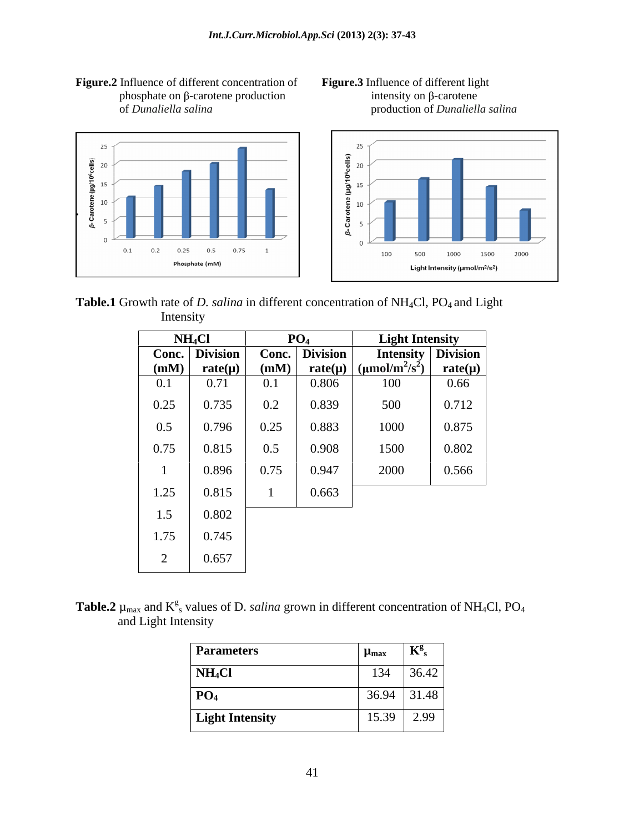Figure.2 Influence of different concentration of Figure.3 Influence of different light phosphate on  $\beta$ -carotene production intensity on  $\beta$ -carotene







Table.1 Growth rate of *D. salina* in different concentration of NH<sub>4</sub>Cl, PO<sub>4</sub> and Light Intensity and the same state of the state of the state of the state of the state of the state of the state of the state of the state of the state of the state of the state of the state of the state of the state of the stat

|      | NH <sub>4</sub> Cl |      | PO <sub>4</sub> | <b>Light Intensity</b>                                 |                                      |
|------|--------------------|------|-----------------|--------------------------------------------------------|--------------------------------------|
|      | Conc. Division     |      | Conc. Division  | Intensity Division                                     |                                      |
| (mM) | rate( $\mu$ )      | (mM) |                 | $\mathbf{rate}(\mu)$ $(\mu \text{mol/m}^2/\text{s}^2)$ | $rac{\text{rate}(\mu)}{\text{rate}}$ |
| 0.1  | 0.71               | 0.1  | 0.806           | 100                                                    | 0.66                                 |
| 0.25 | 0.735              | 0.2  | 0.839           | 500                                                    | 0.712                                |
| 0.5  | 0.796              | 0.25 | 0.883           | 1000                                                   | 0.875                                |
| 0.75 | 0.815              | 0.5  | 0.908           | 1500                                                   | 0.802                                |
|      | 0.896              | 0.75 | 0.947           | 2000                                                   | 0.566                                |
| 1.25 | 0.815              |      | 0.663           |                                                        |                                      |
| 1.5  | 0.802              |      |                 |                                                        |                                      |
| 1.75 | 0.745              |      |                 |                                                        |                                      |
|      | 0.657              |      |                 |                                                        |                                      |

**Table.2**  $\mu_{\text{max}}$  and  $K^g$ <sub>s</sub> values of D. *salina* grown in different concentration of NH<sub>4</sub>Cl, PO<sub>4</sub> and Light Intensity

| <b>Parameters</b><br>$\mu_{\text{max}}$  | $\mathbf{R}$  |
|------------------------------------------|---------------|
| NH <sub>4</sub> Cl<br>$\sim$<br>$\sim$ . | 36.42         |
| $P_4$                                    | $36.94$ 31.48 |
| <b>Light Intensity</b>                   | $15.39$ 2.99  |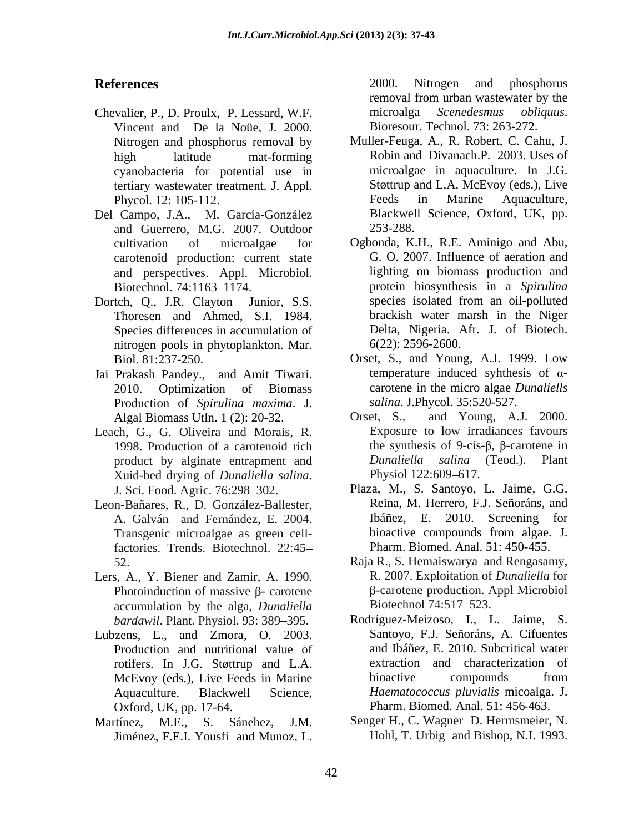- Chevalier, P., D. Proulx, P. Lessard, W.F. microalga *Scenedesmus obliquus*.<br>Vincent and De la Noüe. J. 2000. Bioresour. Technol. 73: 263-272. Vincent and De la Noüe, J. 2000. Nitrogen and phosphorus removal by<br>high latitude mat-forming cyanobacteria for potential use in tertiary wastewater treatment. J. Appl.
- Del Campo, J.A., M. García-González and Guerrero, M.G. 2007. Outdoor carotenoid production: current state
- Thoresen and Ahmed, S.I. 1984. Species differences in accumulation of nitrogen pools in phytoplankton. Mar.
- Jai Prakash Pandey., and Amit Tiwari. Production of *Spirulina maxima*. J. Algal Biomass Utln. 1 (2): 20-32. Orset, S.,
- Xuid-bed drying of *Dunaliella salina*. Physiol 122:609–617.<br>J. Sci. Food. Agric. 76:298–302. Plaza, M., S. Santoyo, L. Jaime, G.G.
- Leon-Bañares, R., D. González-Ballester, Transgenic microalgae as green cellfactories. Trends. Biotechnol. 22:45
- Lers, A., Y. Biener and Zamir, A. 1990. <br>Photoinduction of massive  $\beta$  carotene  $\beta$  carotene production. Appl Microbiol accumulation by the alga, *Dunaliella bardawil*. Plant. Physiol. 93: 389-395.
- Lubzens, E., and Zmora, O. 2003. Production and nutritional value of rotifers. In J.G. Støttrup and L.A. Oxford, UK, pp. 17-64. Pharm. Biomed. Anal. 51: 456-463.
- Jiménez, F.E.I. Yousfi and Munoz, L.

**References** 2000. Nitrogen and phosphorus 2000. Nitrogen and phosphorus removal from urban wastewater by the microalga *Scenedesmus obliquus*. Bioresour. Technol. 73: 263-272.

- high latitude mat-forming Robin and Divanach.P. 2003. Uses of Phycol. 12: 105-112. Feeds in Marine Aquaculture, Muller-Feuga, A., R. Robert, C. Cahu, J. microalgae in aquaculture. In J.G. Støttrup and L.A. McEvoy (eds.), Live Feeds in Marine Aquaculture, Blackwell Science, Oxford, UK, pp. 253-288.
- cultivation of microalgae for Ogbonda, K.H., R.E. Aminigo and Abu, and perspectives. Appl. Microbiol. lighting on biomass production and Biotechnol. 74:1163–1174. **protein biosynthesis in a** *Spirulina* Dortch, O., J.R. Clayton Junior, S.S. species isolated from an oil-polluted G. O. 2007. Influence of aeration and species isolated from an oil-polluted brackish water marsh in the Niger Delta, Nigeria. Afr. J. of Biotech. 6(22): 2596-2600.
	- Biol. 81:237-250. Orset, S., and Young, A.J. 1999. Low 2010. Optimization of Biomass carotene in the micro algae *Dunaliells*  temperature induced syhthesis of  $\alpha$ *salina*. J.Phycol. 35:520-527.
- Leach, G., G. Oliveira and Morais, R. Exposure to low irradiances favours<br>1998. Production of a carotenoid rich the synthesis of 9-cis- $\beta$ ,  $\beta$ -carotene in product by alginate entrapment and *Dunaliella salina* (Teod.). Plant Xuid-bed drving of *Dunaliella salina*. Physiol 122:609–617. and Young, A.J.  $2000$ . Exposure to low irradiances favours the synthesis of 9-cis- $\beta$ ,  $\beta$ -carotene in *Dunaliella salina* (Teod.). Physiol 122:609–617.
	- A. Galván and Fernández, E. 2004. Ibáñez, E. 2010. Screening for<br>Transgenic microalgae as green cell-<br>bioactive compounds from algae. J. Plaza, M., S. Santoyo, L. Jaime, G.G. Reina, M. Herrero, F.J. Señoráns, and Ibáñez, E. 2010. Screening for bioactive compounds from algae. J. Pharm. Biomed. Anal. 51: 450-455.
	- 52. Raja R., S. Hemaiswarya and Rengasamy, R. 2007. Exploitation of *Dunaliella* for β-carotene production. Appl Microbiol Biotechnol 74:517–523.
	- McEvoy (eds.), Live Feeds in Marine bioactive compounds from Aquaculture. Blackwell Science, *Haematococcus pluvialis* micoalga. J. Rodríguez-Meizoso, I., L. Jaime, S. Santoyo, F.J. Señoráns, A. Cifuentes and Ibáñez, E. 2010. Subcritical water extraction and characterization of bioactive compounds from
- Martínez, M.E., S. Sánehez, J.M. Senger H., C. Wagner D. Hermsmeier, N. Hohl, T. Urbig and Bishop, N.I. 1993.